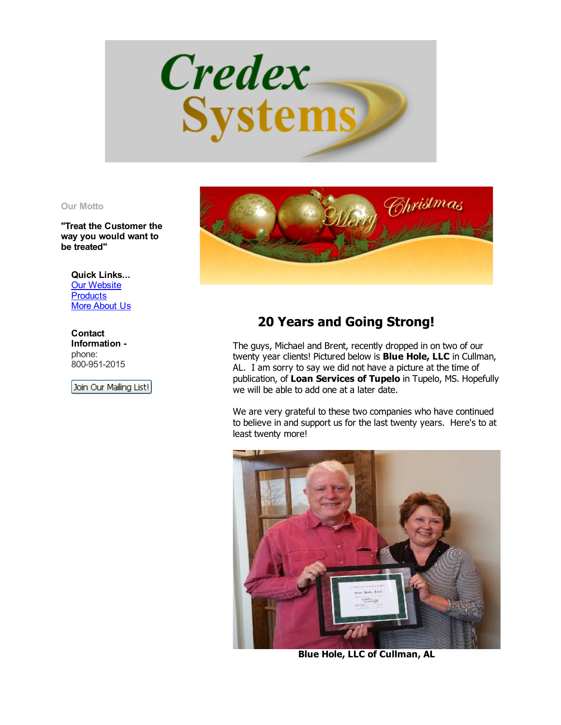

## Our Motto

"Treat the Customer the way you would want to be treated"

Quick Links... Our [Website](http://www.credexsystems.com/) **[Products](http://www.credexsystems.com/products.php)** More [About](http://www.credexsystems.com/about-us.php) Us

**Contact** Information phone: 800-951-2015

Join Our Mailing List!



## 20 Years and Going Strong!

The guys, Michael and Brent, recently dropped in on two of our twenty year clients! Pictured below is Blue Hole, LLC in Cullman, AL. I am sorry to say we did not have a picture at the time of publication, of Loan Services of Tupelo in Tupelo, MS. Hopefully we will be able to add one at a later date.

We are very grateful to these two companies who have continued to believe in and support us for the last twenty years. Here's to at least twenty more!



Blue Hole, LLC of Cullman, AL